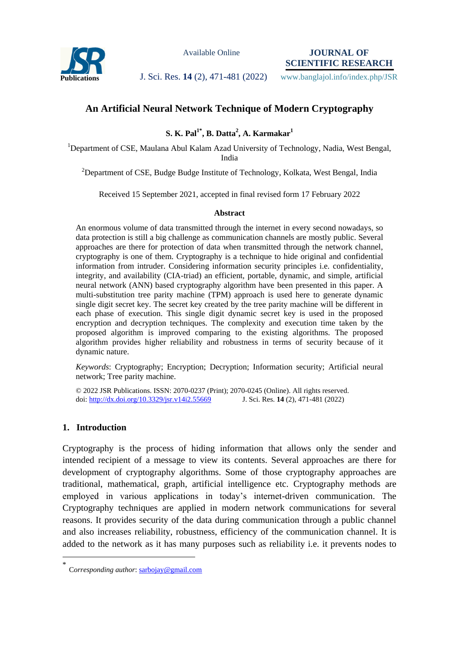

Available Online

**JOURNAL OF SCIENTIFIC RESEARCH**

Publications **J. Sci. Res. 14 (2), 471-481 (2022)** www.banglajol.info/index.php/JSR

# **An Artificial Neural Network Technique of Modern Cryptography**

**S. K. Pal1\* , B. Datta<sup>2</sup> , A. Karmakar<sup>1</sup>**

<sup>1</sup>Department of CSE, Maulana Abul Kalam Azad University of Technology, Nadia, West Bengal, India

<sup>2</sup>Department of CSE, Budge Budge Institute of Technology, Kolkata, West Bengal, India

Received 15 September 2021, accepted in final revised form 17 February 2022

#### **Abstract**

An enormous volume of data transmitted through the internet in every second nowadays, so data protection is still a big challenge as communication channels are mostly public. Several approaches are there for protection of data when transmitted through the network channel, cryptography is one of them. Cryptography is a technique to hide original and confidential information from intruder. Considering information security principles i.e. confidentiality, integrity, and availability (CIA-triad) an efficient, portable, dynamic, and simple, artificial neural network (ANN) based cryptography algorithm have been presented in this paper. A multi-substitution tree parity machine (TPM) approach is used here to generate dynamic single digit secret key. The secret key created by the tree parity machine will be different in each phase of execution. This single digit dynamic secret key is used in the proposed encryption and decryption techniques. The complexity and execution time taken by the proposed algorithm is improved comparing to the existing algorithms. The proposed algorithm provides higher reliability and robustness in terms of security because of it dynamic nature.

*Keywords*: Cryptography; Encryption; Decryption; Information security; Artificial neural network; Tree parity machine.

© 2022 JSR Publications. ISSN: 2070-0237 (Print); 2070-0245 (Online). All rights reserved. doi:<http://dx.doi.org/10.3329/jsr.v14i2.55669>J. Sci. Res. **14** (2), 471-481 (2022)

### **1. Introduction**

 $\overline{a}$ 

Cryptography is the process of hiding information that allows only the sender and intended recipient of a message to view its contents. Several approaches are there for development of cryptography algorithms. Some of those cryptography approaches are traditional, mathematical, graph, artificial intelligence etc. Cryptography methods are employed in various applications in today"s internet-driven communication. The Cryptography techniques are applied in modern network communications for several reasons. It provides security of the data during communication through a public channel and also increases reliability, robustness, efficiency of the communication channel. It is added to the network as it has many purposes such as reliability i.e. it prevents nodes to

<sup>\*</sup> C*orresponding author*[: sarbojay@gmail.com](mailto:sarbojay@gmail.com)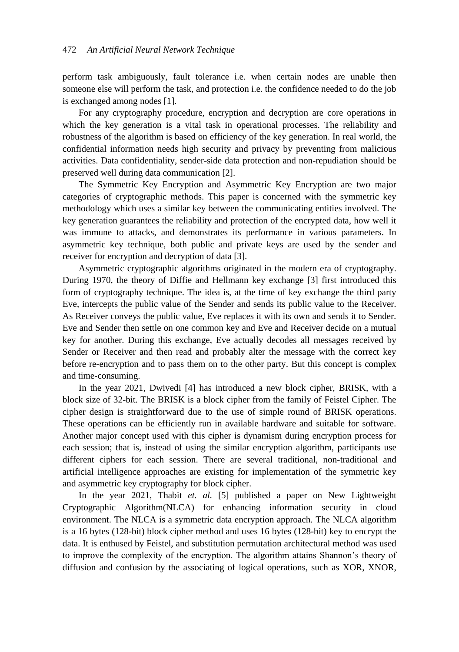perform task ambiguously, fault tolerance i.e. when certain nodes are unable then someone else will perform the task, and protection i.e. the confidence needed to do the job is exchanged among nodes [1].

For any cryptography procedure, encryption and decryption are core operations in which the key generation is a vital task in operational processes. The reliability and robustness of the algorithm is based on efficiency of the key generation. In real world, the confidential information needs high security and privacy by preventing from malicious activities. Data confidentiality, sender-side data protection and non-repudiation should be preserved well during data communication [2].

The Symmetric Key Encryption and Asymmetric Key Encryption are two major categories of cryptographic methods. This paper is concerned with the symmetric key methodology which uses a similar key between the communicating entities involved. The key generation guarantees the reliability and protection of the encrypted data, how well it was immune to attacks, and demonstrates its performance in various parameters. In asymmetric key technique, both public and private keys are used by the sender and receiver for encryption and decryption of data [3].

Asymmetric cryptographic algorithms originated in the modern era of cryptography. During 1970, the theory of Diffie and Hellmann key exchange [3] first introduced this form of cryptography technique. The idea is, at the time of key exchange the third party Eve, intercepts the public value of the Sender and sends its public value to the Receiver. As Receiver conveys the public value, Eve replaces it with its own and sends it to Sender. Eve and Sender then settle on one common key and Eve and Receiver decide on a mutual key for another. During this exchange, Eve actually decodes all messages received by Sender or Receiver and then read and probably alter the message with the correct key before re-encryption and to pass them on to the other party. But this concept is complex and time-consuming.

In the year 2021, Dwivedi [4] has introduced a new block cipher, BRISK, with a block size of 32-bit. The BRISK is a block cipher from the family of Feistel Cipher. The cipher design is straightforward due to the use of simple round of BRISK operations. These operations can be efficiently run in available hardware and suitable for software. Another major concept used with this cipher is dynamism during encryption process for each session; that is, instead of using the similar encryption algorithm, participants use different ciphers for each session. There are several traditional, non-traditional and artificial intelligence approaches are existing for implementation of the symmetric key and asymmetric key cryptography for block cipher.

In the year 2021, Thabit *et. al.* [5] published a paper on New Lightweight Cryptographic Algorithm(NLCA) for enhancing information security in cloud environment. The NLCA is a symmetric data encryption approach. The NLCA algorithm is a 16 bytes (128-bit) block cipher method and uses 16 bytes (128-bit) key to encrypt the data. It is enthused by Feistel, and substitution permutation architectural method was used to improve the complexity of the encryption. The algorithm attains Shannon"s theory of diffusion and confusion by the associating of logical operations, such as XOR, XNOR,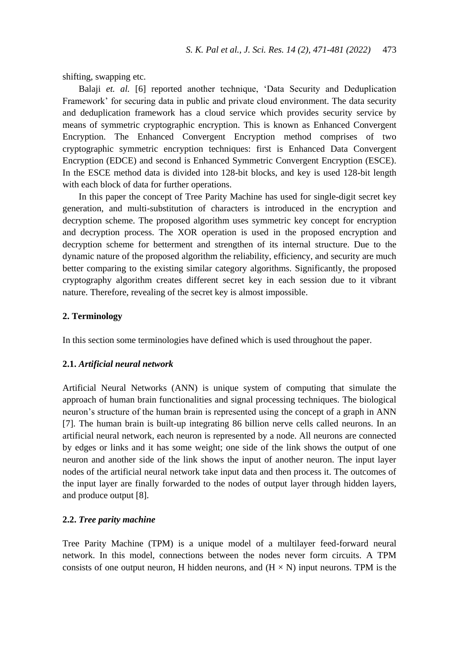shifting, swapping etc.

Balaji *et. al.* [6] reported another technique, "Data Security and Deduplication Framework" for securing data in public and private cloud environment. The data security and deduplication framework has a cloud service which provides security service by means of symmetric cryptographic encryption. This is known as Enhanced Convergent Encryption. The Enhanced Convergent Encryption method comprises of two cryptographic symmetric encryption techniques: first is Enhanced Data Convergent Encryption (EDCE) and second is Enhanced Symmetric Convergent Encryption (ESCE). In the ESCE method data is divided into 128-bit blocks, and key is used 128-bit length with each block of data for further operations.

In this paper the concept of Tree Parity Machine has used for single-digit secret key generation, and multi-substitution of characters is introduced in the encryption and decryption scheme. The proposed algorithm uses symmetric key concept for encryption and decryption process. The XOR operation is used in the proposed encryption and decryption scheme for betterment and strengthen of its internal structure. Due to the dynamic nature of the proposed algorithm the reliability, efficiency, and security are much better comparing to the existing similar category algorithms. Significantly, the proposed cryptography algorithm creates different secret key in each session due to it vibrant nature. Therefore, revealing of the secret key is almost impossible.

#### **2. Terminology**

In this section some terminologies have defined which is used throughout the paper.

#### **2.1.** *Artificial neural network*

Artificial Neural Networks (ANN) is unique system of computing that simulate the approach of human brain functionalities and signal processing techniques. The biological neuron"s structure of the human brain is represented using the concept of a graph in ANN [7]. The human brain is built-up integrating 86 billion nerve cells called neurons. In an artificial neural network, each neuron is represented by a node. All neurons are connected by edges or links and it has some weight; one side of the link shows the output of one neuron and another side of the link shows the input of another neuron. The input layer nodes of the artificial neural network take input data and then process it. The outcomes of the input layer are finally forwarded to the nodes of output layer through hidden layers, and produce output [8].

### **2.2.** *Tree parity machine*

Tree Parity Machine (TPM) is a unique model of a multilayer feed-forward neural network. In this model, connections between the nodes never form circuits. A TPM consists of one output neuron, H hidden neurons, and  $(H \times N)$  input neurons. TPM is the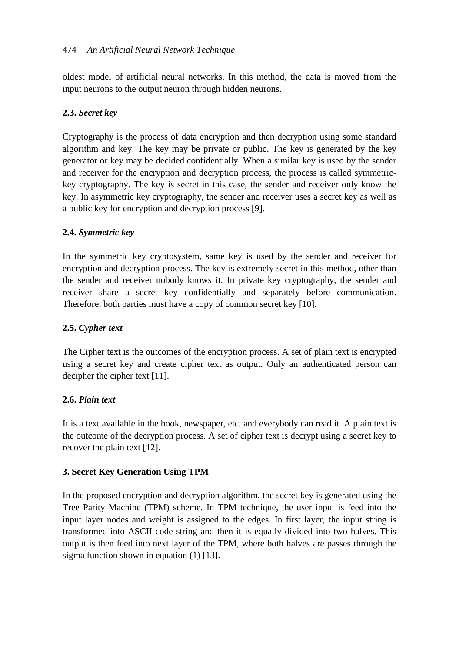oldest model of artificial neural networks. In this method, the data is moved from the input neurons to the output neuron through hidden neurons.

# **2.3.** *Secret key*

Cryptography is the process of data encryption and then decryption using some standard algorithm and key. The key may be private or public. The key is generated by the key generator or key may be decided confidentially. When a similar key is used by the sender and receiver for the encryption and decryption process, the process is called symmetrickey cryptography. The key is secret in this case, the sender and receiver only know the key. In asymmetric key cryptography, the sender and receiver uses a secret key as well as a public key for encryption and decryption process [9].

# **2.4.** *Symmetric key*

In the symmetric key cryptosystem, same key is used by the sender and receiver for encryption and decryption process. The key is extremely secret in this method, other than the sender and receiver nobody knows it. In private key cryptography, the sender and receiver share a secret key confidentially and separately before communication. Therefore, both parties must have a copy of common secret key [10].

## **2.5.** *Cypher text*

The Cipher text is the outcomes of the encryption process. A set of plain text is encrypted using a secret key and create cipher text as output. Only an authenticated person can decipher the cipher text [11].

## **2.6.** *Plain text*

It is a text available in the book, newspaper, etc. and everybody can read it. A plain text is the outcome of the decryption process. A set of cipher text is decrypt using a secret key to recover the plain text [12].

# **3. Secret Key Generation Using TPM**

In the proposed encryption and decryption algorithm, the secret key is generated using the Tree Parity Machine (TPM) scheme. In TPM technique, the user input is feed into the input layer nodes and weight is assigned to the edges. In first layer, the input string is transformed into ASCII code string and then it is equally divided into two halves. This output is then feed into next layer of the TPM, where both halves are passes through the sigma function shown in equation (1) [13].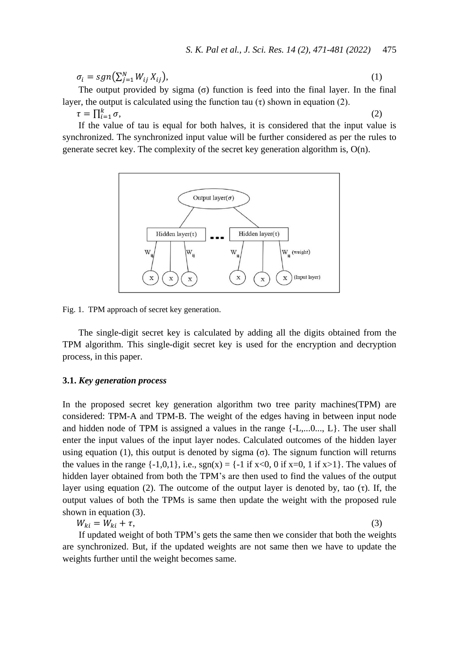$$
\sigma_i = sgn(\sum_{j=1}^N W_{ij} X_{ij}),\tag{1}
$$

The output provided by sigma  $(σ)$  function is feed into the final layer. In the final layer, the output is calculated using the function tau  $(\tau)$  shown in equation (2).

 $\tau = \prod_{i=1}^k \sigma$ ,  $(2)$ 

If the value of tau is equal for both halves, it is considered that the input value is synchronized. The synchronized input value will be further considered as per the rules to generate secret key. The complexity of the secret key generation algorithm is, O(n).



Fig. 1. TPM approach of secret key generation.

The single-digit secret key is calculated by adding all the digits obtained from the TPM algorithm. This single-digit secret key is used for the encryption and decryption process, in this paper.

#### **3.1.** *Key generation process*

In the proposed secret key generation algorithm two tree parity machines(TPM) are considered: TPM-A and TPM-B. The weight of the edges having in between input node and hidden node of TPM is assigned a values in the range {-L,...0..., L}. The user shall enter the input values of the input layer nodes. Calculated outcomes of the hidden layer using equation (1), this output is denoted by sigma  $(σ)$ . The signum function will returns the values in the range  $\{-1,0,1\}$ , i.e.,  $sgn(x) = \{-1$  if  $x<0$ , 0 if  $x=0$ , 1 if  $x>1\}$ . The values of hidden layer obtained from both the TPM"s are then used to find the values of the output layer using equation (2). The outcome of the output layer is denoted by, tao (τ). If, the output values of both the TPMs is same then update the weight with the proposed rule shown in equation (3).

 $W_{ki} = W_{ki} + \tau,$  (3)

If updated weight of both TPM"s gets the same then we consider that both the weights are synchronized. But, if the updated weights are not same then we have to update the weights further until the weight becomes same.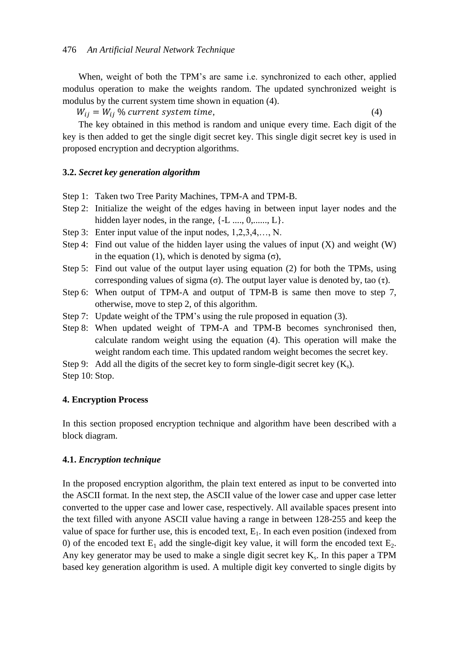When, weight of both the TPM's are same i.e. synchronized to each other, applied modulus operation to make the weights random. The updated synchronized weight is modulus by the current system time shown in equation (4).

 $W_{ij} = W_{ij}$ % current system time, (4)

The key obtained in this method is random and unique every time. Each digit of the key is then added to get the single digit secret key. This single digit secret key is used in proposed encryption and decryption algorithms.

#### **3.2.** *Secret key generation algorithm*

- Step 1: Taken two Tree Parity Machines, TPM-A and TPM-B.
- Step 2: Initialize the weight of the edges having in between input layer nodes and the hidden layer nodes, in the range,  $\{-L$  ...,  $0, \ldots, L\}$ .
- Step 3: Enter input value of the input nodes, 1,2,3,4,…, N.
- Step 4: Find out value of the hidden layer using the values of input  $(X)$  and weight  $(W)$ in the equation (1), which is denoted by sigma (σ),
- Step 5: Find out value of the output layer using equation (2) for both the TPMs, using corresponding values of sigma (σ). The output layer value is denoted by, tao (τ).
- Step 6: When output of TPM-A and output of TPM-B is same then move to step 7, otherwise, move to step 2, of this algorithm.
- Step 7: Update weight of the TPM's using the rule proposed in equation (3).
- Step 8: When updated weight of TPM-A and TPM-B becomes synchronised then, calculate random weight using the equation (4). This operation will make the weight random each time. This updated random weight becomes the secret key.
- Step 9: Add all the digits of the secret key to form single-digit secret key  $(K_s)$ .
- Step 10: Stop.

#### **4. Encryption Process**

In this section proposed encryption technique and algorithm have been described with a block diagram.

#### **4.1.** *Encryption technique*

In the proposed encryption algorithm, the plain text entered as input to be converted into the ASCII format. In the next step, the ASCII value of the lower case and upper case letter converted to the upper case and lower case, respectively. All available spaces present into the text filled with anyone ASCII value having a range in between 128-255 and keep the value of space for further use, this is encoded text,  $E_1$ . In each even position (indexed from 0) of the encoded text  $E_1$  add the single-digit key value, it will form the encoded text  $E_2$ . Any key generator may be used to make a single digit secret key  $K_s$ . In this paper a TPM based key generation algorithm is used. A multiple digit key converted to single digits by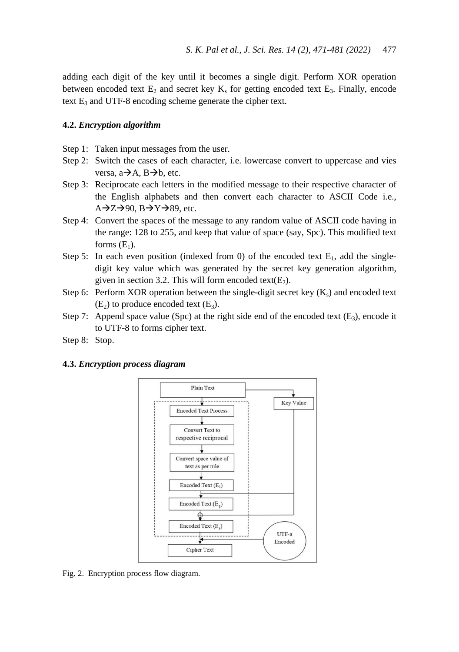adding each digit of the key until it becomes a single digit. Perform XOR operation between encoded text  $E_2$  and secret key  $K_s$  for getting encoded text  $E_3$ . Finally, encode text  $E_3$  and UTF-8 encoding scheme generate the cipher text.

### **4.2.** *Encryption algorithm*

- Step 1: Taken input messages from the user.
- Step 2: Switch the cases of each character, i.e. lowercase convert to uppercase and vies versa,  $a \rightarrow A$ ,  $B \rightarrow b$ , etc.
- Step 3: Reciprocate each letters in the modified message to their respective character of the English alphabets and then convert each character to ASCII Code i.e.,  $A\rightarrow Z\rightarrow 90$ ,  $B\rightarrow Y\rightarrow 89$ , etc.
- Step 4: Convert the spaces of the message to any random value of ASCII code having in the range: 128 to 255, and keep that value of space (say, Spc). This modified text forms  $(E_1)$ .
- Step 5: In each even position (indexed from 0) of the encoded text  $E_1$ , add the singledigit key value which was generated by the secret key generation algorithm, given in section 3.2. This will form encoded text $(E_2)$ .
- Step 6: Perform XOR operation between the single-digit secret key  $(K_s)$  and encoded text  $(E_2)$  to produce encoded text  $(E_3)$ .
- Step 7: Append space value (Spc) at the right side end of the encoded text ( $E_3$ ), encode it to UTF-8 to forms cipher text.
- Step 8: Stop.

### **4.3.** *Encryption process diagram*



Fig. 2. Encryption process flow diagram.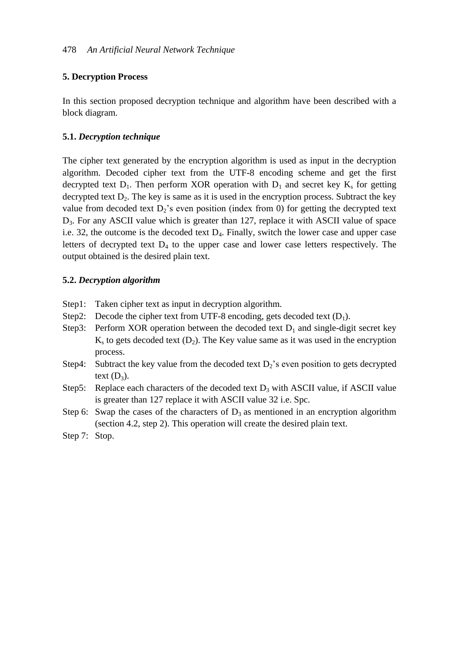## **5. Decryption Process**

In this section proposed decryption technique and algorithm have been described with a block diagram.

## **5.1.** *Decryption technique*

The cipher text generated by the encryption algorithm is used as input in the decryption algorithm. Decoded cipher text from the UTF-8 encoding scheme and get the first decrypted text  $D_1$ . Then perform XOR operation with  $D_1$  and secret key  $K_s$  for getting decrypted text  $D_2$ . The key is same as it is used in the encryption process. Subtract the key value from decoded text  $D_2$ 's even position (index from 0) for getting the decrypted text D3. For any ASCII value which is greater than 127, replace it with ASCII value of space i.e. 32, the outcome is the decoded text  $D_4$ . Finally, switch the lower case and upper case letters of decrypted text  $D_4$  to the upper case and lower case letters respectively. The output obtained is the desired plain text.

## **5.2.** *Decryption algorithm*

- Step1: Taken cipher text as input in decryption algorithm.
- Step2: Decode the cipher text from UTF-8 encoding, gets decoded text  $(D_1)$ .
- Step3: Perform XOR operation between the decoded text  $D_1$  and single-digit secret key  $K<sub>s</sub>$  to gets decoded text ( $D<sub>2</sub>$ ). The Key value same as it was used in the encryption process.
- Step4: Subtract the key value from the decoded text  $D_2$ 's even position to gets decrypted text  $(D_3)$ .
- Step5: Replace each characters of the decoded text  $D_3$  with ASCII value, if ASCII value is greater than 127 replace it with ASCII value 32 i.e. Spc.
- Step 6: Swap the cases of the characters of  $D_3$  as mentioned in an encryption algorithm (section 4.2, step 2). This operation will create the desired plain text.

Step 7: Stop.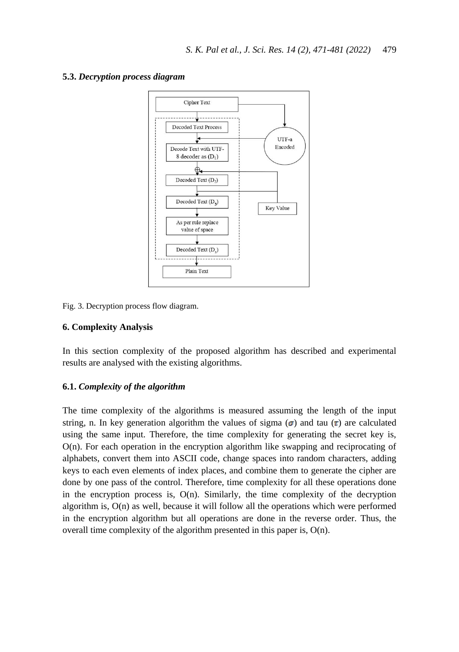



Fig. 3. Decryption process flow diagram.

### **6. Complexity Analysis**

In this section complexity of the proposed algorithm has described and experimental results are analysed with the existing algorithms.

### **6.1.** *Complexity of the algorithm*

The time complexity of the algorithms is measured assuming the length of the input string, n. In key generation algorithm the values of sigma  $(\sigma)$  and tau  $(\tau)$  are calculated using the same input. Therefore, the time complexity for generating the secret key is, O(n). For each operation in the encryption algorithm like swapping and reciprocating of alphabets, convert them into ASCII code, change spaces into random characters, adding keys to each even elements of index places, and combine them to generate the cipher are done by one pass of the control. Therefore, time complexity for all these operations done in the encryption process is,  $O(n)$ . Similarly, the time complexity of the decryption algorithm is,  $O(n)$  as well, because it will follow all the operations which were performed in the encryption algorithm but all operations are done in the reverse order. Thus, the overall time complexity of the algorithm presented in this paper is, O(n).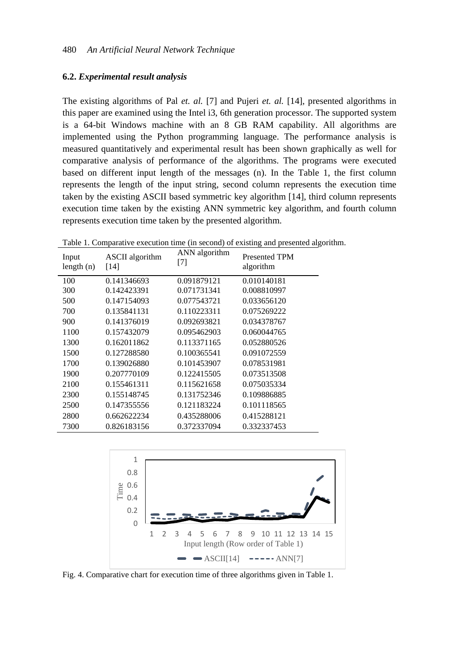#### **6.2.** *Experimental result analysis*

The existing algorithms of Pal *et. al.* [7] and Pujeri *et. al.* [14], presented algorithms in this paper are examined using the Intel i3, 6th generation processor. The supported system is a 64-bit Windows machine with an 8 GB RAM capability. All algorithms are implemented using the Python programming language. The performance analysis is measured quantitatively and experimental result has been shown graphically as well for comparative analysis of performance of the algorithms. The programs were executed based on different input length of the messages (n). In the Table 1, the first column represents the length of the input string, second column represents the execution time taken by the existing ASCII based symmetric key algorithm [14], third column represents execution time taken by the existing ANN symmetric key algorithm, and fourth column represents execution time taken by the presented algorithm.

| Input<br>length $(n)$ | <b>ASCII</b> algorithm<br>[14] | ANN algorithm<br>$[7]$ | <b>Presented TPM</b><br>algorithm |
|-----------------------|--------------------------------|------------------------|-----------------------------------|
| 100                   | 0.141346693                    | 0.091879121            | 0.010140181                       |
| 300                   | 0.142423391                    | 0.071731341            | 0.008810997                       |
| 500                   | 0.147154093                    | 0.077543721            | 0.033656120                       |
| 700                   | 0.135841131                    | 0.110223311            | 0.075269222                       |
| 900                   | 0.141376019                    | 0.092693821            | 0.034378767                       |
| 1100                  | 0.157432079                    | 0.095462903            | 0.060044765                       |
| 1300                  | 0.162011862                    | 0.113371165            | 0.052880526                       |
| 1500                  | 0.127288580                    | 0.100365541            | 0.091072559                       |
| 1700                  | 0.139026880                    | 0.101453907            | 0.078531981                       |
| 1900                  | 0.207770109                    | 0.122415505            | 0.073513508                       |
| 2100                  | 0.155461311                    | 0.115621658            | 0.075035334                       |
| 2300                  | 0.155148745                    | 0.131752346            | 0.109886885                       |
| 2500                  | 0.147355556                    | 0.121183224            | 0.101118565                       |
| 2800                  | 0.662622234                    | 0.435288006            | 0.415288121                       |
| 7300                  | 0.826183156                    | 0.372337094            | 0.332337453                       |

Table 1. Comparative execution time (in second) of existing and presented algorithm.



Fig. 4. Comparative chart for execution time of three algorithms given in Table 1.